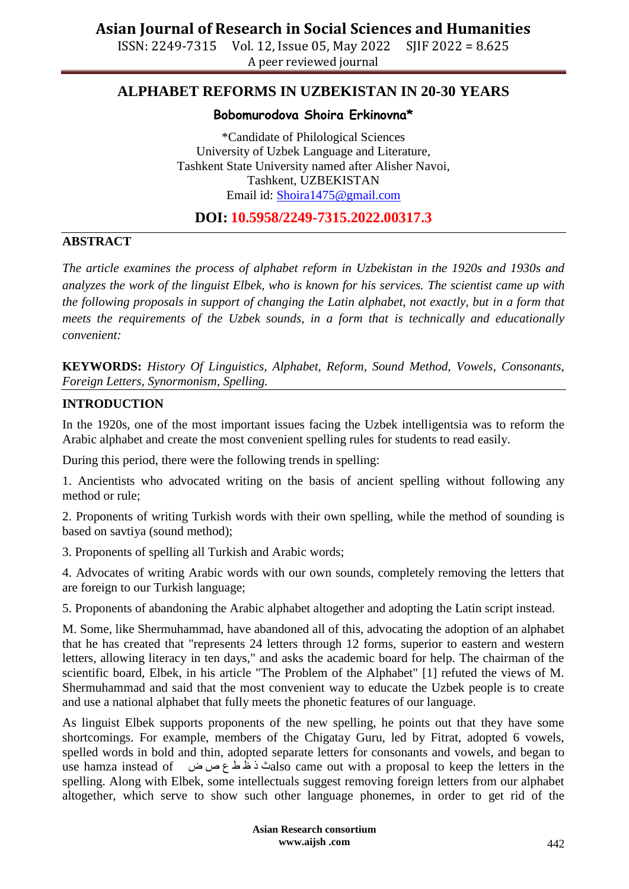ISSN: 2249-7315 Vol. 12, Issue 05, May 2022 SJIF 2022 = 8.625 A peer reviewed journal

## **ALPHABET REFORMS IN UZBEKISTAN IN 20-30 YEARS**

#### **Bobomurodova Shoira Erkinovna\***

\*Candidate of Philological Sciences University of Uzbek Language and Literature, Tashkent State University named after Alisher Navoi, Tashkent, UZBEKISTAN Email id: [Shoira1475@gmail.com](mailto:Shoira1475@gmail.com)

**DOI: 10.5958/2249-7315.2022.00317.3**

#### **ABSTRACT**

*The article examines the process of alphabet reform in Uzbekistan in the 1920s and 1930s and analyzes the work of the linguist Elbek, who is known for his services. The scientist came up with the following proposals in support of changing the Latin alphabet, not exactly, but in a form that meets the requirements of the Uzbek sounds, in a form that is technically and educationally convenient:*

**KEYWORDS:** *History Of Linguistics, Alphabet, Reform, Sound Method, Vowels, Consonants, Foreign Letters, Synormonism, Spelling.*

#### **INTRODUCTION**

In the 1920s, one of the most important issues facing the Uzbek intelligentsia was to reform the Arabic alphabet and create the most convenient spelling rules for students to read easily.

During this period, there were the following trends in spelling:

1. Ancientists who advocated writing on the basis of ancient spelling without following any method or rule;

2. Proponents of writing Turkish words with their own spelling, while the method of sounding is based on savtiya (sound method);

3. Proponents of spelling all Turkish and Arabic words;

4. Advocates of writing Arabic words with our own sounds, completely removing the letters that are foreign to our Turkish language;

5. Proponents of abandoning the Arabic alphabet altogether and adopting the Latin script instead.

M. Some, like Shermuhammad, have abandoned all of this, advocating the adoption of an alphabet that he has created that "represents 24 letters through 12 forms, superior to eastern and western letters, allowing literacy in ten days," and asks the academic board for help. The chairman of the scientific board, Elbek, in his article "The Problem of the Alphabet" [1] refuted the views of M. Shermuhammad and said that the most convenient way to educate the Uzbek people is to create and use a national alphabet that fully meets the phonetic features of our language.

As linguist Elbek supports proponents of the new spelling, he points out that they have some shortcomings. For example, members of the Chigatay Guru, led by Fitrat, adopted 6 vowels, spelled words in bold and thin, adopted separate letters for consonants and vowels, and began to use hamza instead of ض ص ع ط ظ ذ ثalso came out with a proposal to keep the letters in the spelling. Along with Elbek, some intellectuals suggest removing foreign letters from our alphabet altogether, which serve to show such other language phonemes, in order to get rid of the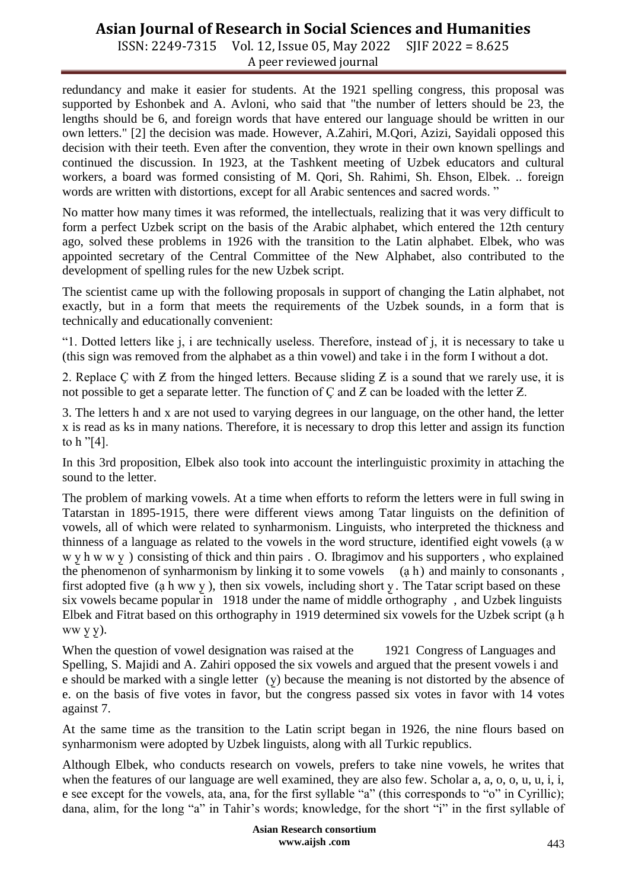## **Asian Journal of Research in Social Sciences and Humanities**

ISSN: 2249-7315 Vol. 12, Issue 05, May 2022 SJIF 2022 = 8.625 A peer reviewed journal

redundancy and make it easier for students. At the 1921 spelling congress, this proposal was supported by Eshonbek and A. Avloni, who said that "the number of letters should be 23, the lengths should be 6, and foreign words that have entered our language should be written in our own letters." [2] the decision was made. However, A.Zahiri, M.Qori, Azizi, Sayidali opposed this decision with their teeth. Even after the convention, they wrote in their own known spellings and continued the discussion. In 1923, at the Tashkent meeting of Uzbek educators and cultural workers, a board was formed consisting of M. Qori, Sh. Rahimi, Sh. Ehson, Elbek. .. foreign words are written with distortions, except for all Arabic sentences and sacred words. "

No matter how many times it was reformed, the intellectuals, realizing that it was very difficult to form a perfect Uzbek script on the basis of the Arabic alphabet, which entered the 12th century ago, solved these problems in 1926 with the transition to the Latin alphabet. Elbek, who was appointed secretary of the Central Committee of the New Alphabet, also contributed to the development of spelling rules for the new Uzbek script.

The scientist came up with the following proposals in support of changing the Latin alphabet, not exactly, but in a form that meets the requirements of the Uzbek sounds, in a form that is technically and educationally convenient:

"1. Dotted letters like j, i are technically useless. Therefore, instead of j, it is necessary to take u (this sign was removed from the alphabet as a thin vowel) and take i in the form I without a dot.

2. Replace C with  $Z$  from the hinged letters. Because sliding  $Z$  is a sound that we rarely use, it is not possible to get a separate letter. The function of  $C$  and  $Z$  can be loaded with the letter  $Z$ .

3. The letters h and x are not used to varying degrees in our language, on the other hand, the letter x is read as ks in many nations. Therefore, it is necessary to drop this letter and assign its function to h "[4].

In this 3rd proposition, Elbek also took into account the interlinguistic proximity in attaching the sound to the letter.

The problem of marking vowels. At a time when efforts to reform the letters were in full swing in Tatarstan in 1895-1915, there were different views among Tatar linguists on the definition of vowels, all of which were related to synharmonism. Linguists, who interpreted the thickness and thinness of a language as related to the vowels in the word structure, identified eight vowels (ạ w w y h w w y ) consisting of thick and thin pairs . O. Ibragimov and his supporters, who explained the phenomenon of synharmonism by linking it to some vowels (ạ h) and mainly to consonants , first adopted five (a h ww  $\underline{y}$ ), then six vowels, including short  $\underline{y}$ . The Tatar script based on these six vowels became popular in 1918 under the name of middle orthography , and Uzbek linguists Elbek and Fitrat based on this orthography in 1919 determined six vowels for the Uzbek script (ạ h ww y̱ y̱ ).

When the question of vowel designation was raised at the 1921 Congress of Languages and Spelling, S. Majidi and A. Zahiri opposed the six vowels and argued that the present vowels i and e should be marked with a single letter  $(y)$  because the meaning is not distorted by the absence of e. on the basis of five votes in favor, but the congress passed six votes in favor with 14 votes against 7.

At the same time as the transition to the Latin script began in 1926, the nine flours based on synharmonism were adopted by Uzbek linguists, along with all Turkic republics.

Although Elbek, who conducts research on vowels, prefers to take nine vowels, he writes that when the features of our language are well examined, they are also few. Scholar a, a, o, o, u, u, i, i, e see except for the vowels, ata, ana, for the first syllable "a" (this corresponds to "o" in Cyrillic); dana, alim, for the long "a" in Tahir's words; knowledge, for the short "i" in the first syllable of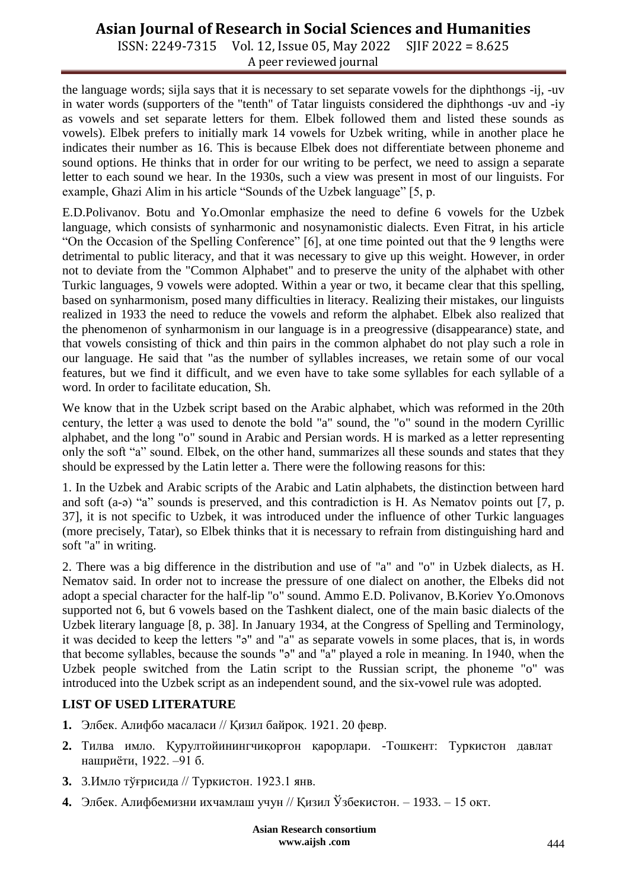## **Asian Journal of Research in Social Sciences and Humanities**

ISSN: 2249-7315 Vol. 12, Issue 05, May 2022 SJIF 2022 = 8.625 A peer reviewed journal

the language words; sijla says that it is necessary to set separate vowels for the diphthongs -ij, -uv in water words (supporters of the "tenth" of Tatar linguists considered the diphthongs -uv and -iy as vowels and set separate letters for them. Elbek followed them and listed these sounds as vowels). Elbek prefers to initially mark 14 vowels for Uzbek writing, while in another place he indicates their number as 16. This is because Elbek does not differentiate between phoneme and sound options. He thinks that in order for our writing to be perfect, we need to assign a separate letter to each sound we hear. In the 1930s, such a view was present in most of our linguists. For example, Ghazi Alim in his article "Sounds of the Uzbek language" [5, p.

E.D.Polivanov. Botu and Yo.Omonlar emphasize the need to define 6 vowels for the Uzbek language, which consists of synharmonic and nosynamonistic dialects. Even Fitrat, in his article "On the Occasion of the Spelling Conference" [6], at one time pointed out that the 9 lengths were detrimental to public literacy, and that it was necessary to give up this weight. However, in order not to deviate from the "Common Alphabet" and to preserve the unity of the alphabet with other Turkic languages, 9 vowels were adopted. Within a year or two, it became clear that this spelling, based on synharmonism, posed many difficulties in literacy. Realizing their mistakes, our linguists realized in 1933 the need to reduce the vowels and reform the alphabet. Elbek also realized that the phenomenon of synharmonism in our language is in a preogressive (disappearance) state, and that vowels consisting of thick and thin pairs in the common alphabet do not play such a role in our language. He said that "as the number of syllables increases, we retain some of our vocal features, but we find it difficult, and we even have to take some syllables for each syllable of a word. In order to facilitate education, Sh.

We know that in the Uzbek script based on the Arabic alphabet, which was reformed in the 20th century, the letter ạ was used to denote the bold "a" sound, the "o" sound in the modern Cyrillic alphabet, and the long "o" sound in Arabic and Persian words. H is marked as a letter representing only the soft "a" sound. Elbek, on the other hand, summarizes all these sounds and states that they should be expressed by the Latin letter a. There were the following reasons for this:

1. In the Uzbek and Arabic scripts of the Arabic and Latin alphabets, the distinction between hard and soft (a-ə) "a" sounds is preserved, and this contradiction is H. As Nematov points out [7, p. 37], it is not specific to Uzbek, it was introduced under the influence of other Turkic languages (more precisely, Tatar), so Elbek thinks that it is necessary to refrain from distinguishing hard and soft "a" in writing.

2. There was a big difference in the distribution and use of "a" and "o" in Uzbek dialects, as H. Nematov said. In order not to increase the pressure of one dialect on another, the Elbeks did not adopt a special character for the half-lip "o" sound. Ammo E.D. Polivanov, B.Koriev Yo.Omonovs supported not 6, but 6 vowels based on the Tashkent dialect, one of the main basic dialects of the Uzbek literary language [8, p. 38]. In January 1934, at the Congress of Spelling and Terminology, it was decided to keep the letters "ə" and "a" as separate vowels in some places, that is, in words that become syllables, because the sounds "ə" and "a" played a role in meaning. In 1940, when the Uzbek people switched from the Latin script to the Russian script, the phoneme "o" was introduced into the Uzbek script as an independent sound, and the six-vowel rule was adopted.

### **LIST OF USED LITERATURE**

- **1.** Элбек. Aлифбо масаласи // Қизил байроқ. 1921. 20 февр.
- **2.** Тилва имло. Қурултойинингчиқорғон қарорлари. -Тошкент: Туркистон давлат нашриёти, 1922. –91 б.
- **3.** 3.Имло тўғрисида // Туркистон. 1923.1 янв.
- **4.** Элбек. Алифбемизни ихчамлаш учун // Қизил Ўзбекистон. 1933. 15 окт.